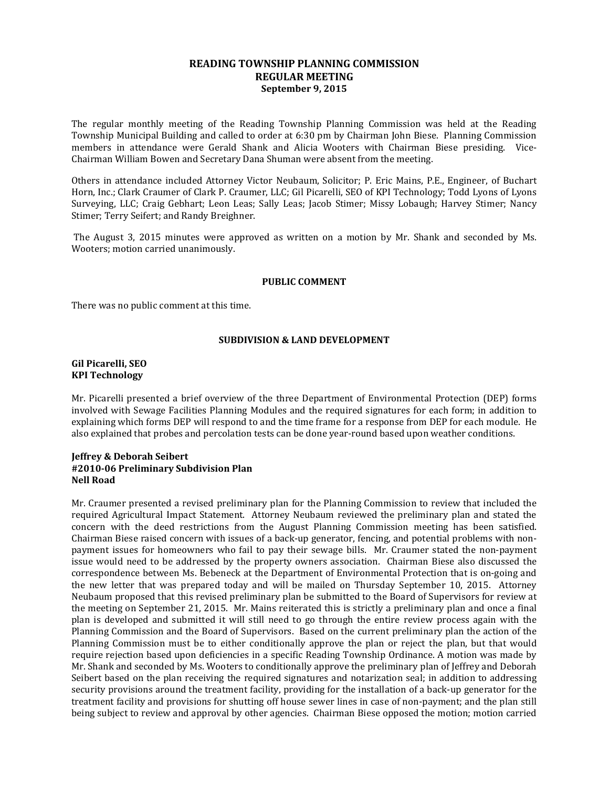## **READING TOWNSHIP PLANNING COMMISSION REGULAR MEETING September 9, 2015**

The regular monthly meeting of the Reading Township Planning Commission was held at the Reading Township Municipal Building and called to order at 6:30 pm by Chairman John Biese. Planning Commission members in attendance were Gerald Shank and Alicia Wooters with Chairman Biese presiding. Vice-Chairman William Bowen and Secretary Dana Shuman were absent from the meeting.

Others in attendance included Attorney Victor Neubaum, Solicitor; P. Eric Mains, P.E., Engineer, of Buchart Horn, Inc.; Clark Craumer of Clark P. Craumer, LLC; Gil Picarelli, SEO of KPI Technology; Todd Lyons of Lyons Surveying, LLC; Craig Gebhart; Leon Leas; Sally Leas; Jacob Stimer; Missy Lobaugh; Harvey Stimer; Nancy Stimer; Terry Seifert; and Randy Breighner.

The August 3, 2015 minutes were approved as written on a motion by Mr. Shank and seconded by Ms. Wooters; motion carried unanimously.

#### **PUBLIC COMMENT**

There was no public comment at this time.

## **SUBDIVISION & LAND DEVELOPMENT**

### **Gil Picarelli, SEO KPI Technology**

Mr. Picarelli presented a brief overview of the three Department of Environmental Protection (DEP) forms involved with Sewage Facilities Planning Modules and the required signatures for each form; in addition to explaining which forms DEP will respond to and the time frame for a response from DEP for each module. He also explained that probes and percolation tests can be done year-round based upon weather conditions.

## **Jeffrey & Deborah Seibert #2010-06 Preliminary Subdivision Plan Nell Road**

Mr. Craumer presented a revised preliminary plan for the Planning Commission to review that included the required Agricultural Impact Statement. Attorney Neubaum reviewed the preliminary plan and stated the concern with the deed restrictions from the August Planning Commission meeting has been satisfied. Chairman Biese raised concern with issues of a back-up generator, fencing, and potential problems with nonpayment issues for homeowners who fail to pay their sewage bills. Mr. Craumer stated the non-payment issue would need to be addressed by the property owners association. Chairman Biese also discussed the correspondence between Ms. Bebeneck at the Department of Environmental Protection that is on-going and the new letter that was prepared today and will be mailed on Thursday September 10, 2015. Attorney Neubaum proposed that this revised preliminary plan be submitted to the Board of Supervisors for review at the meeting on September 21, 2015. Mr. Mains reiterated this is strictly a preliminary plan and once a final plan is developed and submitted it will still need to go through the entire review process again with the Planning Commission and the Board of Supervisors. Based on the current preliminary plan the action of the Planning Commission must be to either conditionally approve the plan or reject the plan, but that would require rejection based upon deficiencies in a specific Reading Township Ordinance. A motion was made by Mr. Shank and seconded by Ms. Wooters to conditionally approve the preliminary plan of Jeffrey and Deborah Seibert based on the plan receiving the required signatures and notarization seal; in addition to addressing security provisions around the treatment facility, providing for the installation of a back-up generator for the treatment facility and provisions for shutting off house sewer lines in case of non-payment; and the plan still being subject to review and approval by other agencies. Chairman Biese opposed the motion; motion carried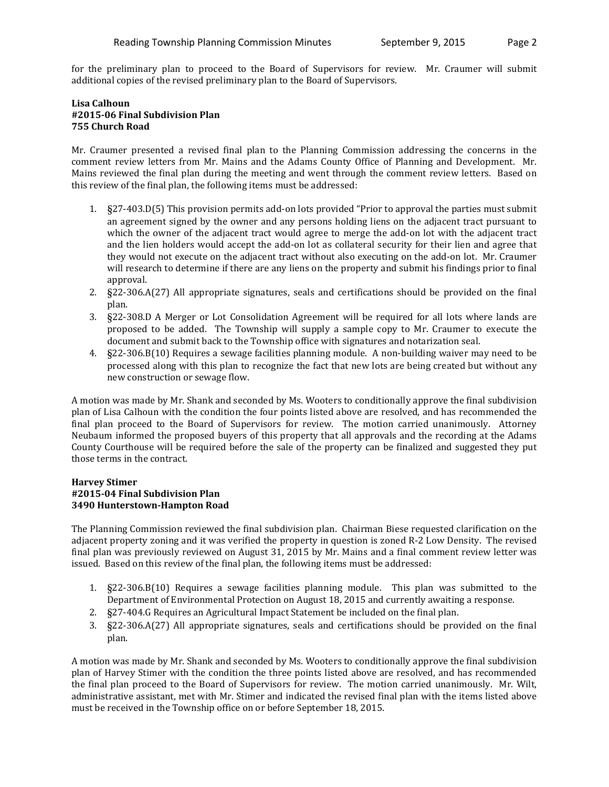for the preliminary plan to proceed to the Board of Supervisors for review. Mr. Craumer will submit additional copies of the revised preliminary plan to the Board of Supervisors.

# **Lisa Calhoun #2015-06 Final Subdivision Plan 755 Church Road**

Mr. Craumer presented a revised final plan to the Planning Commission addressing the concerns in the comment review letters from Mr. Mains and the Adams County Office of Planning and Development. Mr. Mains reviewed the final plan during the meeting and went through the comment review letters. Based on this review of the final plan, the following items must be addressed:

- 1. §27-403.D(5) This provision permits add-on lots provided "Prior to approval the parties must submit an agreement signed by the owner and any persons holding liens on the adjacent tract pursuant to which the owner of the adjacent tract would agree to merge the add-on lot with the adjacent tract and the lien holders would accept the add-on lot as collateral security for their lien and agree that they would not execute on the adjacent tract without also executing on the add-on lot. Mr. Craumer will research to determine if there are any liens on the property and submit his findings prior to final approval.
- 2. §22-306.A(27) All appropriate signatures, seals and certifications should be provided on the final plan.
- 3. §22-308.D A Merger or Lot Consolidation Agreement will be required for all lots where lands are proposed to be added. The Township will supply a sample copy to Mr. Craumer to execute the document and submit back to the Township office with signatures and notarization seal.
- 4. §22-306.B(10) Requires a sewage facilities planning module. A non-building waiver may need to be processed along with this plan to recognize the fact that new lots are being created but without any new construction or sewage flow.

A motion was made by Mr. Shank and seconded by Ms. Wooters to conditionally approve the final subdivision plan of Lisa Calhoun with the condition the four points listed above are resolved, and has recommended the final plan proceed to the Board of Supervisors for review. The motion carried unanimously. Attorney Neubaum informed the proposed buyers of this property that all approvals and the recording at the Adams County Courthouse will be required before the sale of the property can be finalized and suggested they put those terms in the contract.

## **Harvey Stimer #2015-04 Final Subdivision Plan 3490 Hunterstown-Hampton Road**

The Planning Commission reviewed the final subdivision plan. Chairman Biese requested clarification on the adjacent property zoning and it was verified the property in question is zoned R-2 Low Density. The revised final plan was previously reviewed on August 31, 2015 by Mr. Mains and a final comment review letter was issued. Based on this review of the final plan, the following items must be addressed:

- 1. §22-306.B(10) Requires a sewage facilities planning module. This plan was submitted to the Department of Environmental Protection on August 18, 2015 and currently awaiting a response.
- 2. §27-404.G Requires an Agricultural Impact Statement be included on the final plan.
- 3. §22-306.A(27) All appropriate signatures, seals and certifications should be provided on the final plan.

A motion was made by Mr. Shank and seconded by Ms. Wooters to conditionally approve the final subdivision plan of Harvey Stimer with the condition the three points listed above are resolved, and has recommended the final plan proceed to the Board of Supervisors for review. The motion carried unanimously. Mr. Wilt, administrative assistant, met with Mr. Stimer and indicated the revised final plan with the items listed above must be received in the Township office on or before September 18, 2015.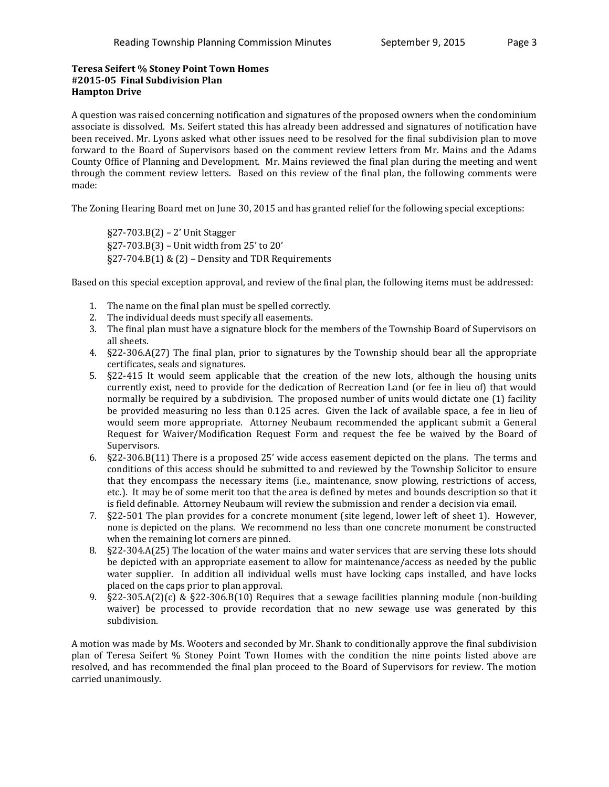# **Teresa Seifert % Stoney Point Town Homes #2015-05 Final Subdivision Plan Hampton Drive**

A question was raised concerning notification and signatures of the proposed owners when the condominium associate is dissolved. Ms. Seifert stated this has already been addressed and signatures of notification have been received. Mr. Lyons asked what other issues need to be resolved for the final subdivision plan to move forward to the Board of Supervisors based on the comment review letters from Mr. Mains and the Adams County Office of Planning and Development. Mr. Mains reviewed the final plan during the meeting and went through the comment review letters. Based on this review of the final plan, the following comments were made:

The Zoning Hearing Board met on June 30, 2015 and has granted relief for the following special exceptions:

§27-703.B(2) – 2' Unit Stagger §27-703.B(3) – Unit width from 25' to 20'  $\S 27-704.B(1) \& (2)$  – Density and TDR Requirements

Based on this special exception approval, and review of the final plan, the following items must be addressed:

- 1. The name on the final plan must be spelled correctly.
- 2. The individual deeds must specify all easements.
- 3. The final plan must have a signature block for the members of the Township Board of Supervisors on all sheets.
- 4. §22-306.A(27) The final plan, prior to signatures by the Township should bear all the appropriate certificates, seals and signatures.
- 5. §22-415 It would seem applicable that the creation of the new lots, although the housing units currently exist, need to provide for the dedication of Recreation Land (or fee in lieu of) that would normally be required by a subdivision. The proposed number of units would dictate one (1) facility be provided measuring no less than 0.125 acres. Given the lack of available space, a fee in lieu of would seem more appropriate. Attorney Neubaum recommended the applicant submit a General Request for Waiver/Modification Request Form and request the fee be waived by the Board of Supervisors.
- 6. §22-306.B(11) There is a proposed 25' wide access easement depicted on the plans. The terms and conditions of this access should be submitted to and reviewed by the Township Solicitor to ensure that they encompass the necessary items (i.e., maintenance, snow plowing, restrictions of access, etc.). It may be of some merit too that the area is defined by metes and bounds description so that it is field definable. Attorney Neubaum will review the submission and render a decision via email.
- 7. §22-501 The plan provides for a concrete monument (site legend, lower left of sheet 1). However, none is depicted on the plans. We recommend no less than one concrete monument be constructed when the remaining lot corners are pinned.
- 8. §22-304.A(25) The location of the water mains and water services that are serving these lots should be depicted with an appropriate easement to allow for maintenance/access as needed by the public water supplier. In addition all individual wells must have locking caps installed, and have locks placed on the caps prior to plan approval.
- 9. §22-305.A(2)(c) & §22-306.B(10) Requires that a sewage facilities planning module (non-building waiver) be processed to provide recordation that no new sewage use was generated by this subdivision.

A motion was made by Ms. Wooters and seconded by Mr. Shank to conditionally approve the final subdivision plan of Teresa Seifert % Stoney Point Town Homes with the condition the nine points listed above are resolved, and has recommended the final plan proceed to the Board of Supervisors for review. The motion carried unanimously.